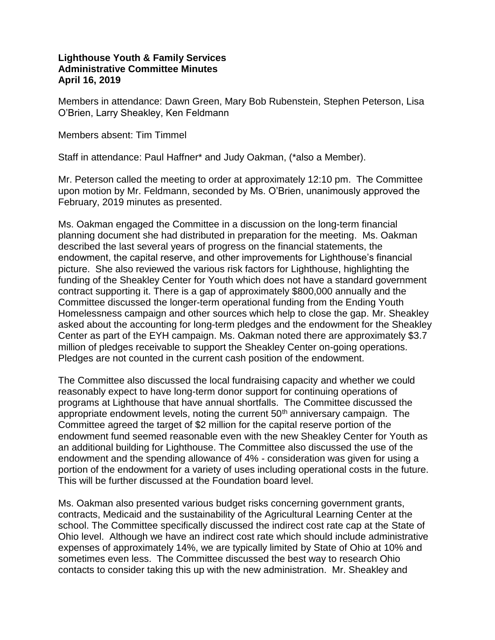## **Lighthouse Youth & Family Services Administrative Committee Minutes April 16, 2019**

Members in attendance: Dawn Green, Mary Bob Rubenstein, Stephen Peterson, Lisa O'Brien, Larry Sheakley, Ken Feldmann

Members absent: Tim Timmel

Staff in attendance: Paul Haffner\* and Judy Oakman, (\*also a Member).

Mr. Peterson called the meeting to order at approximately 12:10 pm. The Committee upon motion by Mr. Feldmann, seconded by Ms. O'Brien, unanimously approved the February, 2019 minutes as presented.

Ms. Oakman engaged the Committee in a discussion on the long-term financial planning document she had distributed in preparation for the meeting. Ms. Oakman described the last several years of progress on the financial statements, the endowment, the capital reserve, and other improvements for Lighthouse's financial picture. She also reviewed the various risk factors for Lighthouse, highlighting the funding of the Sheakley Center for Youth which does not have a standard government contract supporting it. There is a gap of approximately \$800,000 annually and the Committee discussed the longer-term operational funding from the Ending Youth Homelessness campaign and other sources which help to close the gap. Mr. Sheakley asked about the accounting for long-term pledges and the endowment for the Sheakley Center as part of the EYH campaign. Ms. Oakman noted there are approximately \$3.7 million of pledges receivable to support the Sheakley Center on-going operations. Pledges are not counted in the current cash position of the endowment.

The Committee also discussed the local fundraising capacity and whether we could reasonably expect to have long-term donor support for continuing operations of programs at Lighthouse that have annual shortfalls. The Committee discussed the appropriate endowment levels, noting the current  $50<sup>th</sup>$  anniversary campaign. The Committee agreed the target of \$2 million for the capital reserve portion of the endowment fund seemed reasonable even with the new Sheakley Center for Youth as an additional building for Lighthouse. The Committee also discussed the use of the endowment and the spending allowance of 4% - consideration was given for using a portion of the endowment for a variety of uses including operational costs in the future. This will be further discussed at the Foundation board level.

Ms. Oakman also presented various budget risks concerning government grants, contracts, Medicaid and the sustainability of the Agricultural Learning Center at the school. The Committee specifically discussed the indirect cost rate cap at the State of Ohio level. Although we have an indirect cost rate which should include administrative expenses of approximately 14%, we are typically limited by State of Ohio at 10% and sometimes even less. The Committee discussed the best way to research Ohio contacts to consider taking this up with the new administration. Mr. Sheakley and